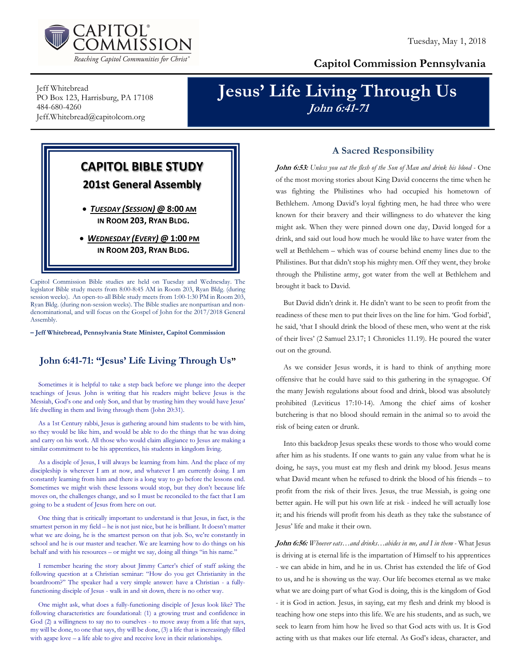

## Capitol Commission Pennsylvania

Jeff Whitebread PO Box 123, Harrisburg, PA 17108 484-680-4260 Jeff.Whitebread@capitolcom.org

# Jesus' Life Living Through Us John 6:41-71

# CAPITOL BIBLE STUDY 201st General Assembly TUESDAY (SESSION) @ 8:00 AM IN ROOM 203, RYAN BLDG.

 WEDNESDAY (EVERY) @ 1:00 PM IN ROOM 203, RYAN BLDG.

Capitol Commission Bible studies are held on Tuesday and Wednesday. The legislator Bible study meets from 8:00-8:45 AM in Room 203, Ryan Bldg. (during session weeks). An open-to-all Bible study meets from 1:00-1:30 PM in Room 203, Ryan Bldg. (during non-session weeks). The Bible studies are nonpartisan and nondenominational, and will focus on the Gospel of John for the 2017/2018 General Assembly.

– Jeff Whitebread, Pennsylvania State Minister, Capitol Commission

## John 6:41-71: "Jesus' Life Living Through Us"

Sometimes it is helpful to take a step back before we plunge into the deeper teachings of Jesus. John is writing that his readers might believe Jesus is the Messiah, God's one and only Son, and that by trusting him they would have Jesus' life dwelling in them and living through them (John 20:31).

As a 1st Century rabbi, Jesus is gathering around him students to be with him, so they would be like him, and would be able to do the things that he was doing and carry on his work. All those who would claim allegiance to Jesus are making a similar commitment to be his apprentices, his students in kingdom living.

As a disciple of Jesus, I will always be learning from him. And the place of my discipleship is wherever I am at now, and whatever I am currently doing. I am constantly learning from him and there is a long way to go before the lessons end. Sometimes we might wish these lessons would stop, but they don't because life moves on, the challenges change, and so I must be reconciled to the fact that I am going to be a student of Jesus from here on out.

One thing that is critically important to understand is that Jesus, in fact, is the smartest person in my field – he is not just nice, but he is brilliant. It doesn't matter what we are doing, he is the smartest person on that job. So, we're constantly in school and he is our master and teacher. We are learning how to do things on his behalf and with his resources – or might we say, doing all things "in his name."

I remember hearing the story about Jimmy Carter's chief of staff asking the following question at a Christian seminar: "How do you get Christianity in the boardroom?" The speaker had a very simple answer: have a Christian - a fullyfunctioning disciple of Jesus - walk in and sit down, there is no other way.

One might ask, what does a fully-functioning disciple of Jesus look like? The following characteristics are foundational: (1) a growing trust and confidence in God (2) a willingness to say no to ourselves - to move away from a life that says, my will be done, to one that says, thy will be done, (3) a life that is increasingly filled with agape love – a life able to give and receive love in their relationships.

### A Sacred Responsibility

John 6:53: Unless you eat the flesh of the Son of Man and drink his blood - One of the most moving stories about King David concerns the time when he was fighting the Philistines who had occupied his hometown of Bethlehem. Among David's loyal fighting men, he had three who were known for their bravery and their willingness to do whatever the king might ask. When they were pinned down one day, David longed for a drink, and said out loud how much he would like to have water from the well at Bethlehem – which was of course behind enemy lines due to the Philistines. But that didn't stop his mighty men. Off they went, they broke through the Philistine army, got water from the well at Bethlehem and brought it back to David.

But David didn't drink it. He didn't want to be seen to profit from the readiness of these men to put their lives on the line for him. 'God forbid', he said, 'that I should drink the blood of these men, who went at the risk of their lives' (2 Samuel 23.17; 1 Chronicles 11.19). He poured the water out on the ground.

As we consider Jesus words, it is hard to think of anything more offensive that he could have said to this gathering in the synagogue. Of the many Jewish regulations about food and drink, blood was absolutely prohibited (Leviticus 17:10-14). Among the chief aims of kosher butchering is that no blood should remain in the animal so to avoid the risk of being eaten or drunk.

Into this backdrop Jesus speaks these words to those who would come after him as his students. If one wants to gain any value from what he is doing, he says, you must eat my flesh and drink my blood. Jesus means what David meant when he refused to drink the blood of his friends – to profit from the risk of their lives. Jesus, the true Messiah, is going one better again. He will put his own life at risk - indeed he will actually lose it; and his friends will profit from his death as they take the substance of Jesus' life and make it their own.

John 6:56: Whoever eats...and drinks...abides in me, and I in them - What Jesus is driving at is eternal life is the impartation of Himself to his apprentices - we can abide in him, and he in us. Christ has extended the life of God to us, and he is showing us the way. Our life becomes eternal as we make what we are doing part of what God is doing, this is the kingdom of God - it is God in action. Jesus, in saying, eat my flesh and drink my blood is teaching how one steps into this life. We are his students, and as such, we seek to learn from him how he lived so that God acts with us. It is God acting with us that makes our life eternal. As God's ideas, character, and